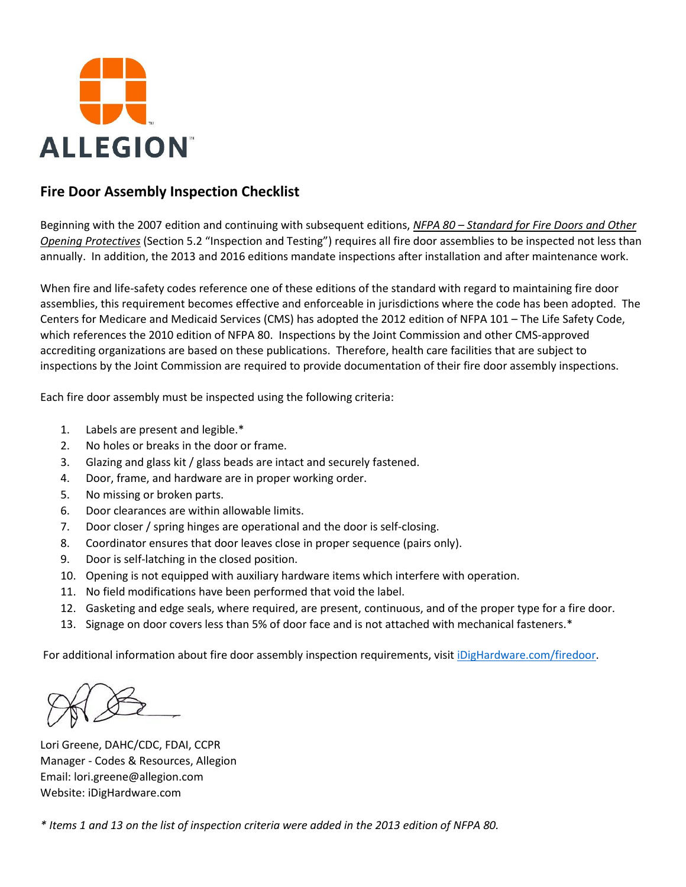

# **Fire Door Assembly Inspection Checklist**

Beginning with the 2007 edition and continuing with subsequent editions, *NFPA 80 – Standard for Fire Doors and Other Opening Protectives* (Section 5.2 "Inspection and Testing") requires all fire door assemblies to be inspected not less than annually. In addition, the 2013 and 2016 editions mandate inspections after installation and after maintenance work.

When fire and life-safety codes reference one of these editions of the standard with regard to maintaining fire door assemblies, this requirement becomes effective and enforceable in jurisdictions where the code has been adopted. The Centers for Medicare and Medicaid Services (CMS) has adopted the 2012 edition of NFPA 101 – The Life Safety Code, which references the 2010 edition of NFPA 80. Inspections by the Joint Commission and other CMS-approved accrediting organizations are based on these publications. Therefore, health care facilities that are subject to inspections by the Joint Commission are required to provide documentation of their fire door assembly inspections.

Each fire door assembly must be inspected using the following criteria:

- 1. Labels are present and legible.\*
- 2. No holes or breaks in the door or frame.
- 3. Glazing and glass kit / glass beads are intact and securely fastened.
- 4. Door, frame, and hardware are in proper working order.
- 5. No missing or broken parts.
- 6. Door clearances are within allowable limits.
- 7. Door closer / spring hinges are operational and the door is self-closing.
- 8. Coordinator ensures that door leaves close in proper sequence (pairs only).
- 9. Door is self-latching in the closed position.
- 10. Opening is not equipped with auxiliary hardware items which interfere with operation.
- 11. No field modifications have been performed that void the label.
- 12. Gasketing and edge seals, where required, are present, continuous, and of the proper type for a fire door.
- 13. Signage on door covers less than 5% of door face and is not attached with mechanical fasteners.\*

For additional information about fire door assembly inspection requirements, visit [iDigHardware.com/firedoor.](http://www.idighardware.com/firedoor)

Lori Greene, DAHC/CDC, FDAI, CCPR Manager - Codes & Resources, Allegion Email: lori.greene@allegion.com Website: iDigHardware.com

*\* Items 1 and 13 on the list of inspection criteria were added in the 2013 edition of NFPA 80.*